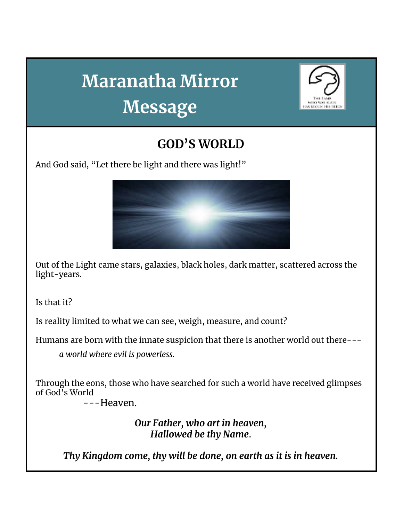## **Maranatha Mirror Message**



## **GOD'S WORLD**

And God said, "Let there be light and there was light!"



Out of the Light came stars, galaxies, black holes, dark matter, scattered across the light-years.

Is that it?

Is reality limited to what we can see, weigh, measure, and count?

Humans are born with the innate suspicion that there is another world out there---

*a world where evil is powerless.*

Through the eons, those who have searched for such a world have received glimpses of God's World

---Heaven.

*Our Father, who art in heaven, Hallowed be thy Name*.

*Thy Kingdom come, thy will be done, on earth as it is in heaven.*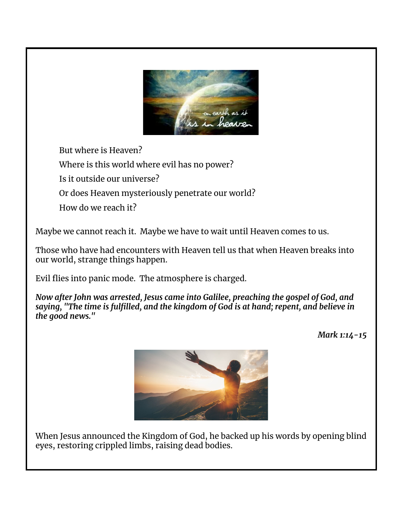

But where is Heaven?

Where is this world where evil has no power?

Is it outside our universe?

Or does Heaven mysteriously penetrate our world?

How do we reach it?

Maybe we cannot reach it. Maybe we have to wait until Heaven comes to us.

Those who have had encounters with Heaven tell us that when Heaven breaks into our world, strange things happen.

Evil flies into panic mode. The atmosphere is charged.

*Now after John was arrested, Jesus came into Galilee, preaching the gospel of God, and saying, "The time is fulfilled, and the kingdom of God is at hand; repent, and believe in the good news."*

*Mark 1:14-15*



When Jesus announced the Kingdom of God, he backed up his words by opening blind eyes, restoring crippled limbs, raising dead bodies.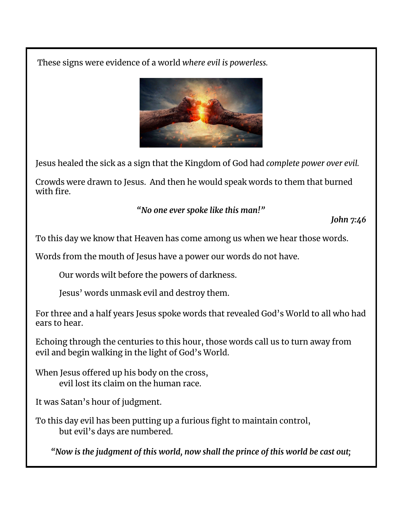These signs were evidence of a world *where evil is powerless.*



Jesus healed the sick as a sign that the Kingdom of God had *complete power over evil.*

Crowds were drawn to Jesus. And then he would speak words to them that burned with fire.

*"No one ever spoke like this man!"*

*John 7:46*

To this day we know that Heaven has come among us when we hear those words.

Words from the mouth of Jesus have a power our words do not have.

Our words wilt before the powers of darkness.

Jesus' words unmask evil and destroy them.

For three and a half years Jesus spoke words that revealed God's World to all who had ears to hear.

Echoing through the centuries to this hour, those words call us to turn away from evil and begin walking in the light of God's World.

When Jesus offered up his body on the cross, evil lost its claim on the human race.

It was Satan's hour of judgment.

To this day evil has been putting up a furious fight to maintain control, but evil's days are numbered.

*"Now is the judgment of this world, now shall the prince of this world be cast out;*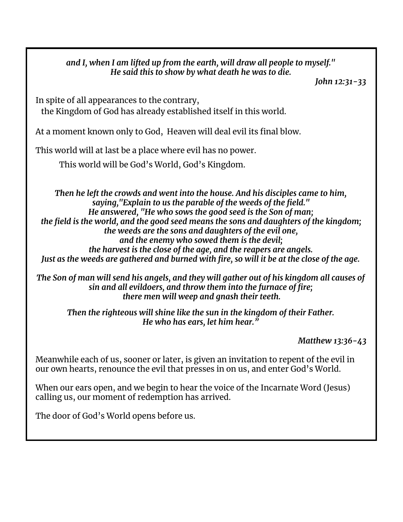*and I, when I am lifted up from the earth, will draw all people to myself." He said this to show by what death he was to die.*

*John 12:31-33*

In spite of all appearances to the contrary, the Kingdom of God has already established itself in this world.

At a moment known only to God, Heaven will deal evil its final blow.

This world will at last be a place where evil has no power.

This world will be God's World, God's Kingdom.

*Then he left the crowds and went into the house. And his disciples came to him, saying,"Explain to us the parable of the weeds of the field." He answered, "He who sows the good seed is the Son of man; the field is the world, and the good seed means the sons and daughters of the kingdom; the weeds are the sons and daughters of the evil one, and the enemy who sowed them is the devil; the harvest is the close of the age, and the reapers are angels.* Just as the weeds are gathered and burned with fire, so will it be at the close of the age.

*The Son of man will send his angels, and they will gather out of his kingdom all causes of sin and all evildoers, and throw them into the furnace of fire; there men will weep and gnash their teeth.*

*Then the righteous will shine like the sun in the kingdom of their Father. He who has ears, let him hear."*

*Matthew 13:36-43*

Meanwhile each of us, sooner or later, is given an invitation to repent of the evil in our own hearts, renounce the evil that presses in on us, and enter God's World.

When our ears open, and we begin to hear the voice of the Incarnate Word (Jesus) calling us, our moment of redemption has arrived.

The door of God's World opens before us.